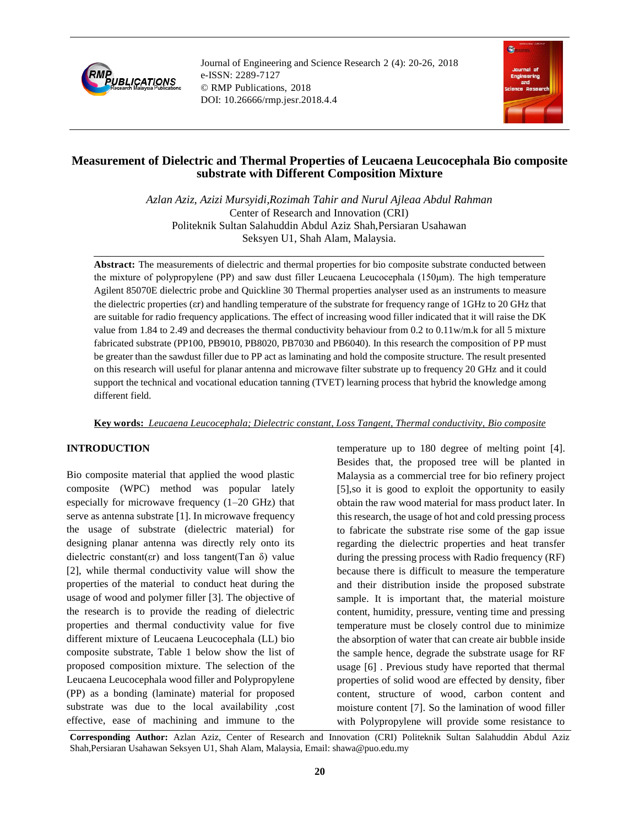

Journal of Engineering and Science Research 2 (4): 20-26, 2018 e-ISSN: 2289-7127 © RMP Publications, 2018 DOI: 10.26666/rmp.jesr.2018.4.4



# **Measurement of Dielectric and Thermal Properties of Leucaena Leucocephala Bio composite substrate with Different Composition Mixture**

*Azlan Aziz, Azizi Mursyidi,Rozimah Tahir and Nurul Ajleaa Abdul Rahman* Center of Research and Innovation (CRI) Politeknik Sultan Salahuddin Abdul Aziz Shah,Persiaran Usahawan Seksyen U1, Shah Alam, Malaysia.

**Abstract:** The measurements of dielectric and thermal properties for bio composite substrate conducted between the mixture of polypropylene (PP) and saw dust filler Leucaena Leucocephala (150μm). The high temperature Agilent 85070E dielectric probe and Quickline 30 Thermal properties analyser used as an instruments to measure the dielectric properties (εr) and handling temperature of the substrate for frequency range of 1GHz to 20 GHz that are suitable for radio frequency applications. The effect of increasing wood filler indicated that it will raise the DK value from 1.84 to 2.49 and decreases the thermal conductivity behaviour from 0.2 to 0.11w/m.k for all 5 mixture fabricated substrate (PP100, PB9010, PB8020, PB7030 and PB6040). In this research the composition of PP must be greater than the sawdust filler due to PP act as laminating and hold the composite structure. The result presented on this research will useful for planar antenna and microwave filter substrate up to frequency 20 GHz and it could support the technical and vocational education tanning (TVET) learning process that hybrid the knowledge among different field.

## **Key words:** *Leucaena Leucocephala; Dielectric constant, Loss Tangent, Thermal conductivity, Bio composite*

# **INTRODUCTION**

Bio composite material that applied the wood plastic composite (WPC) method was popular lately especially for microwave frequency (1–20 GHz) that serve as antenna substrate [1]. In microwave frequency the usage of substrate (dielectric material) for designing planar antenna was directly rely onto its dielectric constant( $\epsilon$ r) and loss tangent(Tan  $\delta$ ) value [2], while thermal conductivity value will show the properties of the material to conduct heat during the usage of wood and polymer filler [3]. The objective of the research is to provide the reading of dielectric properties and thermal conductivity value for five different mixture of Leucaena Leucocephala (LL) bio composite substrate, Table 1 below show the list of proposed composition mixture. The selection of the Leucaena Leucocephala wood filler and Polypropylene (PP) as a bonding (laminate) material for proposed substrate was due to the local availability ,cost effective, ease of machining and immune to the temperature up to 180 degree of melting point [4]. Besides that, the proposed tree will be planted in Malaysia as a commercial tree for bio refinery project [5],so it is good to exploit the opportunity to easily obtain the raw wood material for mass product later. In this research, the usage of hot and cold pressing process to fabricate the substrate rise some of the gap issue regarding the dielectric properties and heat transfer during the pressing process with Radio frequency (RF) because there is difficult to measure the temperature and their distribution inside the proposed substrate sample. It is important that, the material moisture content, humidity, pressure, venting time and pressing temperature must be closely control due to minimize the absorption of water that can create air bubble inside the sample hence, degrade the substrate usage for RF usage [6] . Previous study have reported that thermal properties of solid wood are effected by density, fiber content, structure of wood, carbon content and moisture content [7]. So the lamination of wood filler with Polypropylene will provide some resistance to

**Corresponding Author:** Azlan Aziz, Center of Research and Innovation (CRI) Politeknik Sultan Salahuddin Abdul Aziz Shah,Persiaran Usahawan Seksyen U1, Shah Alam, Malaysia, Email: shawa@puo.edu.my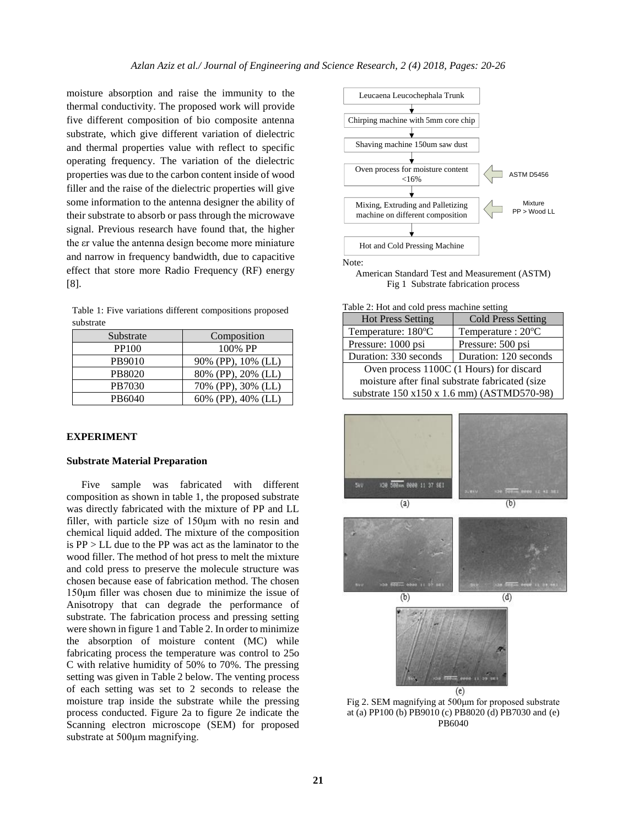moisture absorption and raise the immunity to the thermal conductivity. The proposed work will provide five different composition of bio composite antenna substrate, which give different variation of dielectric and thermal properties value with reflect to specific operating frequency. The variation of the dielectric properties was due to the carbon content inside of wood filler and the raise of the dielectric properties will give some information to the antenna designer the ability of their substrate to absorb or pass through the microwave signal. Previous research have found that, the higher the εr value the antenna design become more miniature and narrow in frequency bandwidth, due to capacitive effect that store more Radio Frequency (RF) energy [8].

Table 1: Five variations different compositions proposed substrate

| Substrate | Composition        |  |  |
|-----------|--------------------|--|--|
| PP100     | 100% PP            |  |  |
| PB9010    | 90% (PP), 10% (LL) |  |  |
| PB8020    | 80% (PP), 20% (LL) |  |  |
| PB7030    | 70% (PP), 30% (LL) |  |  |
| PB6040    | 60% (PP), 40% (LL) |  |  |

## **EXPERIMENT**

#### **Substrate Material Preparation**

Five sample was fabricated with different composition as shown in table 1, the proposed substrate was directly fabricated with the mixture of PP and LL filler, with particle size of 150μm with no resin and chemical liquid added. The mixture of the composition is PP > LL due to the PP was act as the laminator to the wood filler. The method of hot press to melt the mixture and cold press to preserve the molecule structure was chosen because ease of fabrication method. The chosen 150μm filler was chosen due to minimize the issue of Anisotropy that can degrade the performance of substrate. The fabrication process and pressing setting were shown in figure 1 and Table 2. In order to minimize the absorption of moisture content (MC) while fabricating process the temperature was control to 25o C with relative humidity of 50% to 70%. The pressing setting was given in Table 2 below. The venting process of each setting was set to 2 seconds to release the moisture trap inside the substrate while the pressing process conducted. Figure 2a to figure 2e indicate the Scanning electron microscope (SEM) for proposed substrate at 500μm magnifying.



American Standard Test and Measurement (ASTM) Fig 1 Substrate fabrication process

#### Table 2: Hot and cold press machine setting

| <b>Hot Press Setting</b>                        | <b>Cold Press Setting</b> |  |  |
|-------------------------------------------------|---------------------------|--|--|
| Temperature: 180°C                              | Temperature: 20°C         |  |  |
| Pressure: 1000 psi                              | Pressure: 500 psi         |  |  |
| Duration: 330 seconds                           | Duration: 120 seconds     |  |  |
| Oven process 1100C (1 Hours) for discard        |                           |  |  |
| moisture after final substrate fabricated (size |                           |  |  |
| substrate 150 x150 x 1.6 mm) (ASTMD570-98)      |                           |  |  |



Fig 2. SEM magnifying at 500μm for proposed substrate at (a) PP100 (b) PB9010 (c) PB8020 (d) PB7030 and (e) PB6040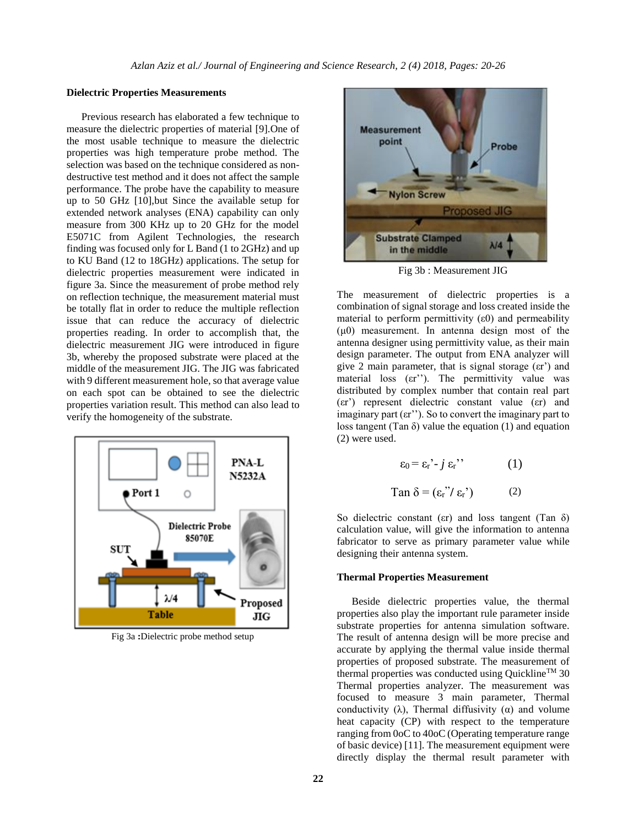### **Dielectric Properties Measurements**

Previous research has elaborated a few technique to measure the dielectric properties of material [9].One of the most usable technique to measure the dielectric properties was high temperature probe method. The selection was based on the technique considered as nondestructive test method and it does not affect the sample performance. The probe have the capability to measure up to 50 GHz [10],but Since the available setup for extended network analyses (ENA) capability can only measure from 300 KHz up to 20 GHz for the model E5071C from Agilent Technologies, the research finding was focused only for L Band (1 to 2GHz) and up to KU Band (12 to 18GHz) applications. The setup for dielectric properties measurement were indicated in figure 3a. Since the measurement of probe method rely on reflection technique, the measurement material must be totally flat in order to reduce the multiple reflection issue that can reduce the accuracy of dielectric properties reading. In order to accomplish that, the dielectric measurement JIG were introduced in figure 3b, whereby the proposed substrate were placed at the middle of the measurement JIG. The JIG was fabricated with 9 different measurement hole, so that average value on each spot can be obtained to see the dielectric properties variation result. This method can also lead to verify the homogeneity of the substrate.



Fig 3a **:**Dielectric probe method setup



Fig 3b : Measurement JIG

The measurement of dielectric properties is a combination of signal storage and loss created inside the material to perform permittivity  $(\epsilon 0)$  and permeability  $(\mu 0)$  measurement. In antenna design most of the antenna designer using permittivity value, as their main design parameter. The output from ENA analyzer will give 2 main parameter, that is signal storage (εr') and material loss (εr"). The permittivity value was distributed by complex number that contain real part (εr') represent dielectric constant value (εr) and imaginary part  $(\epsilon r'')$ . So to convert the imaginary part to loss tangent (Tan  $\delta$ ) value the equation (1) and equation (2) were used.

$$
\varepsilon_0 = \varepsilon_{\rm r}^{\prime} - j \varepsilon_{\rm r}^{\prime\prime} \qquad (1)
$$
  
Tan  $\delta = (\varepsilon_{\rm r}^{\prime\prime}/\varepsilon_{\rm r}^{\prime}) \qquad (2)$ 

So dielectric constant ( $\epsilon$ r) and loss tangent (Tan  $\delta$ ) calculation value, will give the information to antenna fabricator to serve as primary parameter value while designing their antenna system.

#### **Thermal Properties Measurement**

Beside dielectric properties value, the thermal properties also play the important rule parameter inside substrate properties for antenna simulation software. The result of antenna design will be more precise and accurate by applying the thermal value inside thermal properties of proposed substrate. The measurement of thermal properties was conducted using Quickline<sup>TM</sup> 30 Thermal properties analyzer. The measurement was focused to measure 3 main parameter, Thermal conductivity  $(\lambda)$ , Thermal diffusivity  $(\alpha)$  and volume heat capacity (CP) with respect to the temperature ranging from 0oC to 40oC (Operating temperature range of basic device) [11]. The measurement equipment were directly display the thermal result parameter with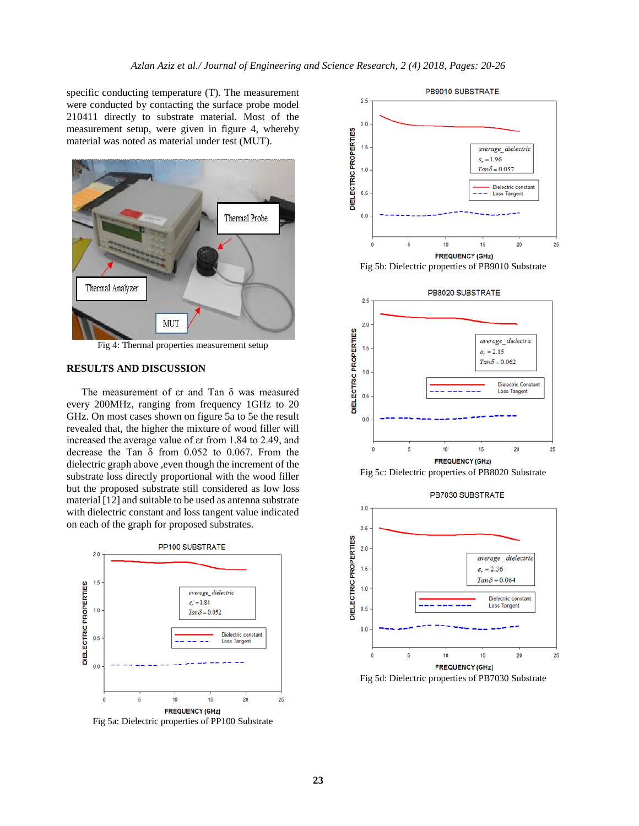specific conducting temperature (T). The measurement were conducted by contacting the surface probe model 210411 directly to substrate material. Most of the measurement setup, were given in figure 4, whereby material was noted as material under test (MUT).



Fig 4: Thermal properties measurement setup

# **RESULTS AND DISCUSSION**

The measurement of εr and Tan δ was measured every 200MHz, ranging from frequency 1GHz to 20 GHz. On most cases shown on figure 5a to 5e the result revealed that, the higher the mixture of wood filler will increased the average value of εr from 1.84 to 2.49, and decrease the Tan δ from 0.052 to 0.067. From the dielectric graph above ,even though the increment of the substrate loss directly proportional with the wood filler but the proposed substrate still considered as low loss material [12] and suitable to be used as antenna substrate with dielectric constant and loss tangent value indicated on each of the graph for proposed substrates.



Fig 5a: Dielectric properties of PP100 Substrate





Fig 5d: Dielectric properties of PB7030 Substrate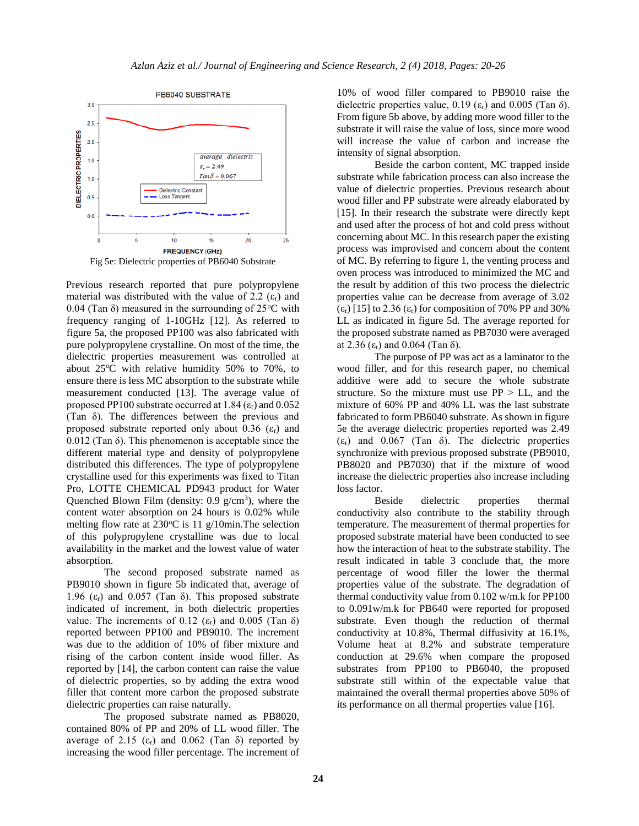

Fig 5e: Dielectric properties of PB6040 Substrate

Previous research reported that pure polypropylene material was distributed with the value of 2.2  $(\epsilon_{\rm r})$  and 0.04 (Tan  $\delta$ ) measured in the surrounding of 25 $\rm{°C}$  with frequency ranging of 1-10GHz [12]. As referred to figure 5a, the proposed PP100 was also fabricated with pure polypropylene crystalline. On most of the time, the dielectric properties measurement was controlled at about  $25^{\circ}$ C with relative humidity 50% to 70%, to ensure there is less MC absorption to the substrate while measurement conducted [13]. The average value of proposed PP100 substrate occurred at 1.84  $(\epsilon_r)$  and 0.052 (Tan δ). The differences between the previous and proposed substrate reported only about 0.36  $(\epsilon_r)$  and 0.012 (Tan δ). This phenomenon is acceptable since the different material type and density of polypropylene distributed this differences. The type of polypropylene crystalline used for this experiments was fixed to Titan Pro, LOTTE CHEMICAL PD943 product for Water Quenched Blown Film (density:  $0.9 \text{ g/cm}^3$ ), where the content water absorption on 24 hours is 0.02% while melting flow rate at  $230^{\circ}$ C is 11 g/10min. The selection of this polypropylene crystalline was due to local availability in the market and the lowest value of water absorption.

The second proposed substrate named as PB9010 shown in figure 5b indicated that, average of 1.96 (ε<sub>r</sub>) and 0.057 (Tan δ). This proposed substrate indicated of increment, in both dielectric properties value. The increments of 0.12 ( $\varepsilon_r$ ) and 0.005 (Tan  $\delta$ ) reported between PP100 and PB9010. The increment was due to the addition of 10% of fiber mixture and rising of the carbon content inside wood filler. As reported by [14], the carbon content can raise the value of dielectric properties, so by adding the extra wood filler that content more carbon the proposed substrate dielectric properties can raise naturally.

The proposed substrate named as PB8020, contained 80% of PP and 20% of LL wood filler. The average of 2.15 (ε<sub>r</sub>) and 0.062 (Tan δ) reported by increasing the wood filler percentage. The increment of 10% of wood filler compared to PB9010 raise the dielectric properties value, 0.19 ( $\varepsilon_r$ ) and 0.005 (Tan  $\delta$ ). From figure 5b above, by adding more wood filler to the substrate it will raise the value of loss, since more wood will increase the value of carbon and increase the intensity of signal absorption.

Beside the carbon content, MC trapped inside substrate while fabrication process can also increase the value of dielectric properties. Previous research about wood filler and PP substrate were already elaborated by [15]. In their research the substrate were directly kept and used after the process of hot and cold press without concerning about MC. In this research paper the existing process was improvised and concern about the content of MC. By referring to figure 1, the venting process and oven process was introduced to minimized the MC and the result by addition of this two process the dielectric properties value can be decrease from average of 3.02 (ε<sub>r</sub>) [15] to 2.36 (ε<sub>r</sub>) for composition of 70% PP and 30% LL as indicated in figure 5d. The average reported for the proposed substrate named as PB7030 were averaged at 2.36  $(ε<sub>r</sub>)$  and 0.064 (Tan δ).

The purpose of PP was act as a laminator to the wood filler, and for this research paper, no chemical additive were add to secure the whole substrate structure. So the mixture must use  $PP > LL$ , and the mixture of 60% PP and 40% LL was the last substrate fabricated to form PB6040 substrate. As shown in figure 5e the average dielectric properties reported was 2.49 (εr) and 0.067 (Tan δ). The dielectric properties synchronize with previous proposed substrate (PB9010, PB8020 and PB7030) that if the mixture of wood increase the dielectric properties also increase including loss factor.

Beside dielectric properties thermal conductivity also contribute to the stability through temperature. The measurement of thermal properties for proposed substrate material have been conducted to see how the interaction of heat to the substrate stability. The result indicated in table 3 conclude that, the more percentage of wood filler the lower the thermal properties value of the substrate. The degradation of thermal conductivity value from 0.102 w/m.k for PP100 to 0.091w/m.k for PB640 were reported for proposed substrate. Even though the reduction of thermal conductivity at 10.8%, Thermal diffusivity at 16.1%, Volume heat at 8.2% and substrate temperature conduction at 29.6% when compare the proposed substrates from PP100 to PB6040, the proposed substrate still within of the expectable value that maintained the overall thermal properties above 50% of its performance on all thermal properties value [16].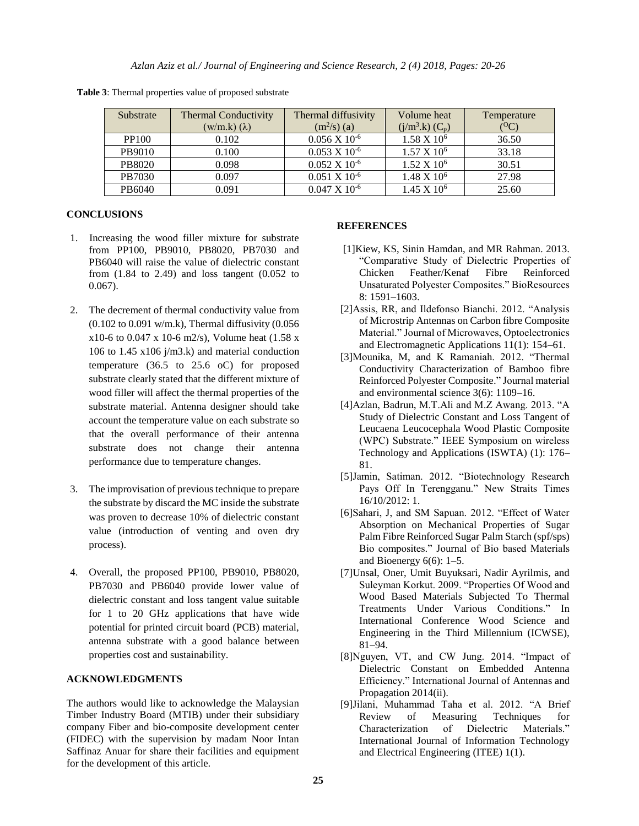| Substrate    | <b>Thermal Conductivity</b><br>$(w/m.k)$ $(\lambda)$ | Thermal diffusivity<br>$(m^2/s)$ (a) | Volume heat<br>$(j/m3.k) (C_p)$ | Temperature |
|--------------|------------------------------------------------------|--------------------------------------|---------------------------------|-------------|
| <b>PP100</b> | 0.102                                                | $0.056$ X $10^{-6}$                  | $1.58 \times 10^6$              | 36.50       |
| PB9010       | 0.100                                                | $0.053 \times 10^{-6}$               | $1.57 \times 10^6$              | 33.18       |
| PB8020       | 0.098                                                | $0.052$ X $10^{-6}$                  | 1.52 X 10 <sup>6</sup>          | 30.51       |
| PB7030       | 0.097                                                | $0.051 \times 10^{-6}$               | 1.48 X 10 <sup>6</sup>          | 27.98       |
| PB6040       | 0.091                                                | $0.047 \times 10^{-6}$               | $1.45 \times 10^6$              | 25.60       |

 **Table 3**: Thermal properties value of proposed substrate

# **CONCLUSIONS**

- 1. Increasing the wood filler mixture for substrate from PP100, PB9010, PB8020, PB7030 and PB6040 will raise the value of dielectric constant from  $(1.84 \text{ to } 2.49)$  and loss tangent  $(0.052 \text{ to } 1.64)$ 0.067).
- 2. The decrement of thermal conductivity value from  $(0.102 \text{ to } 0.091 \text{ w/m}.)$ , Thermal diffusivity  $(0.056$ x10-6 to 0.047 x 10-6 m2/s), Volume heat (1.58 x 106 to 1.45  $x106$  j/m3.k) and material conduction temperature (36.5 to 25.6 oC) for proposed substrate clearly stated that the different mixture of wood filler will affect the thermal properties of the substrate material. Antenna designer should take account the temperature value on each substrate so that the overall performance of their antenna substrate does not change their antenna performance due to temperature changes.
- 3. The improvisation of previous technique to prepare the substrate by discard the MC inside the substrate was proven to decrease 10% of dielectric constant value (introduction of venting and oven dry process).
- 4. Overall, the proposed PP100, PB9010, PB8020, PB7030 and PB6040 provide lower value of dielectric constant and loss tangent value suitable for 1 to 20 GHz applications that have wide potential for printed circuit board (PCB) material, antenna substrate with a good balance between properties cost and sustainability.

## **ACKNOWLEDGMENTS**

The authors would like to acknowledge the Malaysian Timber Industry Board (MTIB) under their subsidiary company Fiber and bio-composite development center (FIDEC) with the supervision by madam Noor Intan Saffinaz Anuar for share their facilities and equipment for the development of this article.

### **REFERENCES**

- [1]Kiew, KS, Sinin Hamdan, and MR Rahman. 2013. "Comparative Study of Dielectric Properties of Chicken Feather/Kenaf Fibre Reinforced Unsaturated Polyester Composites." BioResources 8: 1591–1603.
- [2]Assis, RR, and Ildefonso Bianchi. 2012. "Analysis of Microstrip Antennas on Carbon fibre Composite Material." Journal of Microwaves, Optoelectronics and Electromagnetic Applications 11(1): 154–61.
- [3]Mounika, M, and K Ramaniah. 2012. "Thermal Conductivity Characterization of Bamboo fibre Reinforced Polyester Composite." Journal material and environmental science 3(6): 1109–16.
- [4]Azlan, Badrun, M.T.Ali and M.Z Awang. 2013. "A Study of Dielectric Constant and Loss Tangent of Leucaena Leucocephala Wood Plastic Composite (WPC) Substrate." IEEE Symposium on wireless Technology and Applications (ISWTA) (1): 176– 81.
- [5]Jamin, Satiman. 2012. "Biotechnology Research Pays Off In Terengganu." New Straits Times 16/10/2012: 1.
- [6]Sahari, J, and SM Sapuan. 2012. "Effect of Water Absorption on Mechanical Properties of Sugar Palm Fibre Reinforced Sugar Palm Starch (spf/sps) Bio composites." Journal of Bio based Materials and Bioenergy  $6(6)$ : 1–5.
- [7]Unsal, Oner, Umit Buyuksari, Nadir Ayrilmis, and Suleyman Korkut. 2009. "Properties Of Wood and Wood Based Materials Subjected To Thermal Treatments Under Various Conditions." In International Conference Wood Science and Engineering in the Third Millennium (ICWSE), 81–94.
- [8]Nguyen, VT, and CW Jung. 2014. "Impact of Dielectric Constant on Embedded Antenna Efficiency." International Journal of Antennas and Propagation 2014(ii).
- [9]Jilani, Muhammad Taha et al. 2012. "A Brief Review of Measuring Techniques for Characterization of Dielectric Materials." International Journal of Information Technology and Electrical Engineering (ITEE) 1(1).